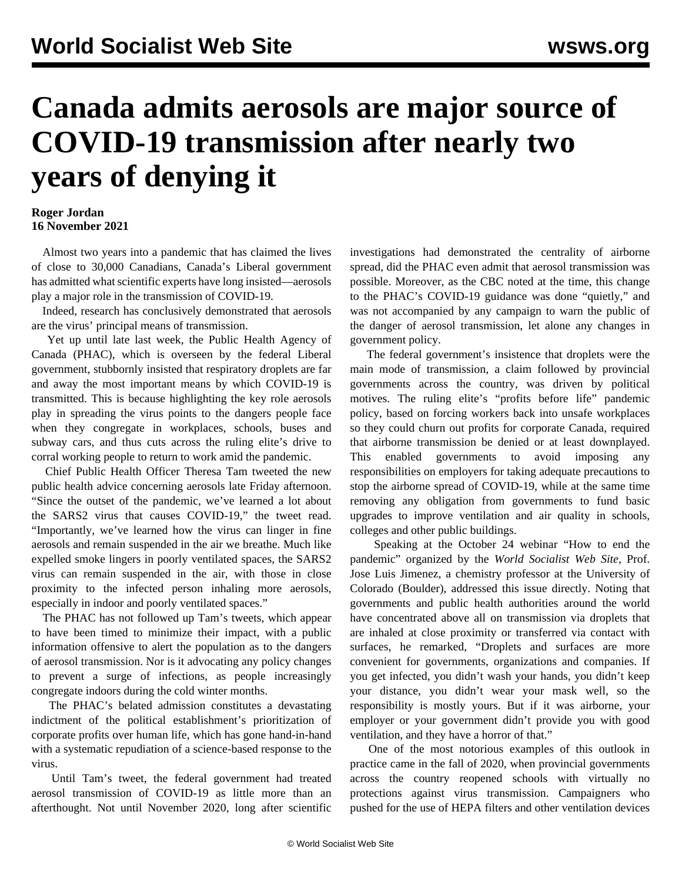## **Canada admits aerosols are major source of COVID-19 transmission after nearly two years of denying it**

## **Roger Jordan 16 November 2021**

 Almost two years into a pandemic that has claimed the lives of close to 30,000 Canadians, Canada's Liberal government has admitted what scientific experts have long insisted—aerosols play a major role in the transmission of COVID-19.

 Indeed, research has conclusively demonstrated that aerosols are the virus' principal means of transmission.

 Yet up until late last week, the Public Health Agency of Canada (PHAC), which is overseen by the federal Liberal government, stubbornly insisted that respiratory droplets are far and away the most important means by which COVID-19 is transmitted. This is because highlighting the key role aerosols play in spreading the virus points to the dangers people face when they congregate in workplaces, schools, buses and subway cars, and thus cuts across the ruling elite's drive to corral working people to return to work amid the pandemic.

 Chief Public Health Officer Theresa Tam tweeted the new public health advice concerning aerosols late Friday afternoon. "Since the outset of the pandemic, we've learned a lot about the SARS2 virus that causes COVID-19," the tweet read. "Importantly, we've learned how the virus can linger in fine aerosols and remain suspended in the air we breathe. Much like expelled smoke lingers in poorly ventilated spaces, the SARS2 virus can remain suspended in the air, with those in close proximity to the infected person inhaling more aerosols, especially in indoor and poorly ventilated spaces."

 The PHAC has not followed up Tam's tweets, which appear to have been timed to minimize their impact, with a public information offensive to alert the population as to the dangers of aerosol transmission. Nor is it advocating any policy changes to prevent a surge of infections, as people increasingly congregate indoors during the cold winter months.

 The PHAC's belated admission constitutes a devastating indictment of the political establishment's prioritization of corporate profits over human life, which has gone hand-in-hand with a systematic repudiation of a science-based response to the virus.

 Until Tam's tweet, the federal government had treated aerosol transmission of COVID-19 as little more than an afterthought. Not until November 2020, long after scientific

investigations had demonstrated the centrality of airborne spread, did the PHAC even admit that aerosol transmission was possible. Moreover, as the CBC noted at the time, this change to the PHAC's COVID-19 guidance was done "quietly," and was not accompanied by any campaign to warn the public of the danger of aerosol transmission, let alone any changes in government policy.

 The federal government's insistence that droplets were the main mode of transmission, a claim followed by provincial governments across the country, was driven by political motives. The ruling elite's "profits before life" pandemic policy, based on forcing workers back into unsafe workplaces so they could churn out profits for corporate Canada, required that airborne transmission be denied or at least downplayed. This enabled governments to avoid imposing any responsibilities on employers for taking adequate precautions to stop the airborne spread of COVID-19, while at the same time removing any obligation from governments to fund basic upgrades to improve ventilation and air quality in schools, colleges and other public buildings.

 Speaking at the October 24 webinar "How to end the pandemic" organized by the *World Socialist Web Site*, Prof. Jose Luis Jimenez, a chemistry professor at the University of Colorado (Boulder), addressed this issue directly. Noting that governments and public health authorities around the world have concentrated above all on transmission via droplets that are inhaled at close proximity or transferred via contact with surfaces, he remarked, "Droplets and surfaces are more convenient for governments, organizations and companies. If you get infected, you didn't wash your hands, you didn't keep your distance, you didn't wear your mask well, so the responsibility is mostly yours. But if it was airborne, your employer or your government didn't provide you with good ventilation, and they have a horror of that."

 One of the most notorious examples of this outlook in practice came in the fall of 2020, when provincial governments across the country reopened schools with virtually no protections against virus transmission. Campaigners who pushed for the use of HEPA filters and other ventilation devices